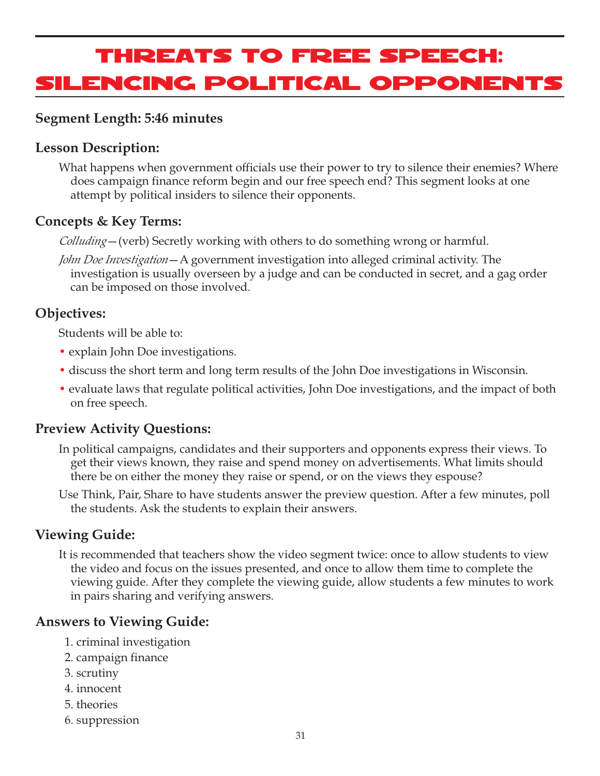# Threats to Free Speech: Silencing Political Opponents

#### **Segment Length: 5:46 minutes**

#### **Lesson Description:**

What happens when government officials use their power to try to silence their enemies? Where does campaign finance reform begin and our free speech end? This segment looks at one attempt by political insiders to silence their opponents.

#### **Concepts & Key Terms:**

*Colluding*—(verb) Secretly working with others to do something wrong or harmful.

*John Doe Investigation*—A government investigation into alleged criminal activity. The investigation is usually overseen by a judge and can be conducted in secret, and a gag order can be imposed on those involved.

#### **Objectives:**

Students will be able to:

- explain John Doe investigations.
- discuss the short term and long term results of the John Doe investigations in Wisconsin.
- evaluate laws that regulate political activities, John Doe investigations, and the impact of both on free speech.

#### **Preview Activity Questions:**

- In political campaigns, candidates and their supporters and opponents express their views. To get their views known, they raise and spend money on advertisements. What limits should there be on either the money they raise or spend, or on the views they espouse?
- Use Think, Pair, Share to have students answer the preview question. After a few minutes, poll the students. Ask the students to explain their answers.

#### **Viewing Guide:**

It is recommended that teachers show the video segment twice: once to allow students to view the video and focus on the issues presented, and once to allow them time to complete the viewing guide. After they complete the viewing guide, allow students a few minutes to work in pairs sharing and verifying answers.

#### **Answers to Viewing Guide:**

- 1. criminal investigation
- 2. campaign finance
- 3. scrutiny
- 4. innocent
- 5. theories
- 6. suppression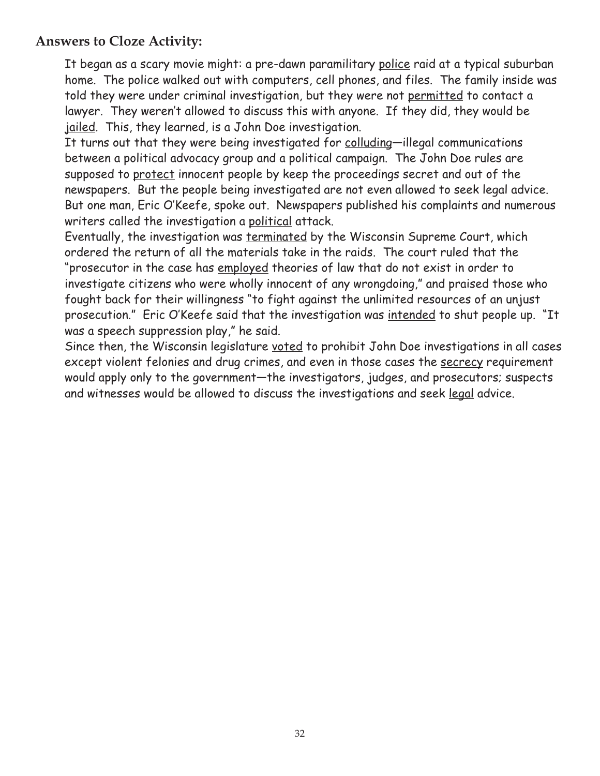## **Answers to Cloze Activity:**

It began as a scary movie might: a pre-dawn paramilitary police raid at a typical suburban home. The police walked out with computers, cell phones, and files. The family inside was told they were under criminal investigation, but they were not permitted to contact a lawyer. They weren't allowed to discuss this with anyone. If they did, they would be jailed. This, they learned, is a John Doe investigation.

It turns out that they were being investigated for colluding—illegal communications between a political advocacy group and a political campaign. The John Doe rules are supposed to protect innocent people by keep the proceedings secret and out of the newspapers. But the people being investigated are not even allowed to seek legal advice. But one man, Eric O'Keefe, spoke out. Newspapers published his complaints and numerous writers called the investigation a political attack.

Eventually, the investigation was terminated by the Wisconsin Supreme Court, which ordered the return of all the materials take in the raids. The court ruled that the "prosecutor in the case has employed theories of law that do not exist in order to investigate citizens who were wholly innocent of any wrongdoing," and praised those who fought back for their willingness "to fight against the unlimited resources of an unjust prosecution." Eric O'Keefe said that the investigation was intended to shut people up. "It was a speech suppression play," he said.

Since then, the Wisconsin legislature voted to prohibit John Doe investigations in all cases except violent felonies and drug crimes, and even in those cases the secrecy requirement would apply only to the government—the investigators, judges, and prosecutors; suspects and witnesses would be allowed to discuss the investigations and seek legal advice.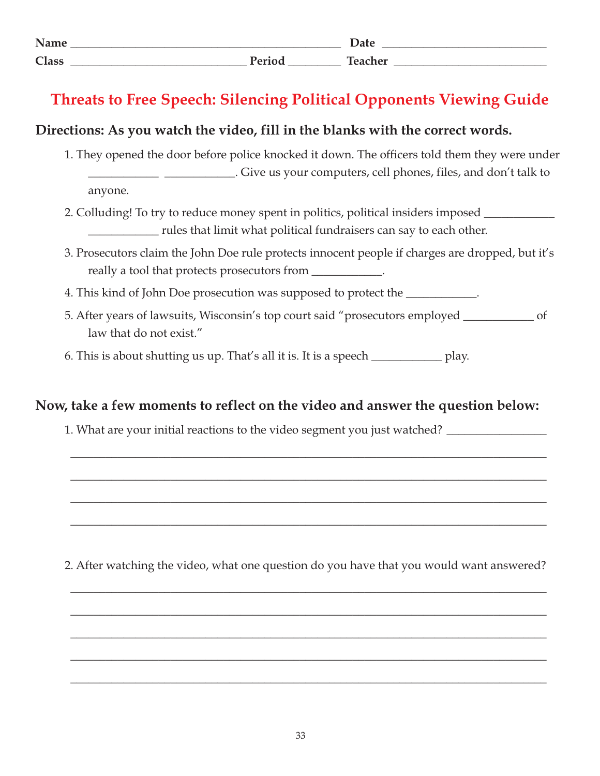| Name         |                |         |
|--------------|----------------|---------|
| <b>Class</b> | $\mathbf{r}$ . | سم ما د |

# **Threats to Free Speech: Silencing Political Opponents Viewing Guide**

#### **Directions: As you watch the video, fill in the blanks with the correct words.**

1. They opened the door before police knocked it down. The officers told them they were under \_\_\_\_\_\_\_\_\_\_\_\_ \_\_\_\_\_\_\_\_\_\_\_\_. Give us your computers, cell phones, files, and don't talk to

anyone.

- 2. Colluding! To try to reduce money spent in politics, political insiders imposed \_\_\_\_\_\_\_\_\_\_\_\_\_\_\_\_ \_\_\_\_\_\_\_\_\_\_\_\_ rules that limit what political fundraisers can say to each other.
- 3. Prosecutors claim the John Doe rule protects innocent people if charges are dropped, but it's really a tool that protects prosecutors from \_\_\_\_\_\_\_\_\_\_\_\_.
- 4. This kind of John Doe prosecution was supposed to protect the \_\_\_\_\_\_\_\_\_\_\_.
- 5. After years of lawsuits, Wisconsin's top court said "prosecutors employed \_\_\_\_\_\_\_\_\_\_\_\_ of law that do not exist."
- 6. This is about shutting us up. That's all it is. It is a speech \_\_\_\_\_\_\_\_\_\_\_\_ play.

#### **Now, take a few moments to reflect on the video and answer the question below:**

1. What are your initial reactions to the video segment you just watched? \_\_\_\_\_\_\_

2. After watching the video, what one question do you have that you would want answered?

\_\_\_\_\_\_\_\_\_\_\_\_\_\_\_\_\_\_\_\_\_\_\_\_\_\_\_\_\_\_\_\_\_\_\_\_\_\_\_\_\_\_\_\_\_\_\_\_\_\_\_\_\_\_\_\_\_\_\_\_\_\_\_\_\_\_\_\_\_\_\_\_\_\_\_\_\_\_\_\_\_

\_\_\_\_\_\_\_\_\_\_\_\_\_\_\_\_\_\_\_\_\_\_\_\_\_\_\_\_\_\_\_\_\_\_\_\_\_\_\_\_\_\_\_\_\_\_\_\_\_\_\_\_\_\_\_\_\_\_\_\_\_\_\_\_\_\_\_\_\_\_\_\_\_\_\_\_\_\_\_\_\_

\_\_\_\_\_\_\_\_\_\_\_\_\_\_\_\_\_\_\_\_\_\_\_\_\_\_\_\_\_\_\_\_\_\_\_\_\_\_\_\_\_\_\_\_\_\_\_\_\_\_\_\_\_\_\_\_\_\_\_\_\_\_\_\_\_\_\_\_\_\_\_\_\_\_\_\_\_\_\_\_\_

\_\_\_\_\_\_\_\_\_\_\_\_\_\_\_\_\_\_\_\_\_\_\_\_\_\_\_\_\_\_\_\_\_\_\_\_\_\_\_\_\_\_\_\_\_\_\_\_\_\_\_\_\_\_\_\_\_\_\_\_\_\_\_\_\_\_\_\_\_\_\_\_\_\_\_\_\_\_\_\_\_

\_\_\_\_\_\_\_\_\_\_\_\_\_\_\_\_\_\_\_\_\_\_\_\_\_\_\_\_\_\_\_\_\_\_\_\_\_\_\_\_\_\_\_\_\_\_\_\_\_\_\_\_\_\_\_\_\_\_\_\_\_\_\_\_\_\_\_\_\_\_\_\_\_\_\_\_\_\_\_\_\_

\_\_\_\_\_\_\_\_\_\_\_\_\_\_\_\_\_\_\_\_\_\_\_\_\_\_\_\_\_\_\_\_\_\_\_\_\_\_\_\_\_\_\_\_\_\_\_\_\_\_\_\_\_\_\_\_\_\_\_\_\_\_\_\_\_\_\_\_\_\_\_\_\_\_\_\_\_\_\_\_\_

\_\_\_\_\_\_\_\_\_\_\_\_\_\_\_\_\_\_\_\_\_\_\_\_\_\_\_\_\_\_\_\_\_\_\_\_\_\_\_\_\_\_\_\_\_\_\_\_\_\_\_\_\_\_\_\_\_\_\_\_\_\_\_\_\_\_\_\_\_\_\_\_\_\_\_\_\_\_\_\_\_

\_\_\_\_\_\_\_\_\_\_\_\_\_\_\_\_\_\_\_\_\_\_\_\_\_\_\_\_\_\_\_\_\_\_\_\_\_\_\_\_\_\_\_\_\_\_\_\_\_\_\_\_\_\_\_\_\_\_\_\_\_\_\_\_\_\_\_\_\_\_\_\_\_\_\_\_\_\_\_\_\_

\_\_\_\_\_\_\_\_\_\_\_\_\_\_\_\_\_\_\_\_\_\_\_\_\_\_\_\_\_\_\_\_\_\_\_\_\_\_\_\_\_\_\_\_\_\_\_\_\_\_\_\_\_\_\_\_\_\_\_\_\_\_\_\_\_\_\_\_\_\_\_\_\_\_\_\_\_\_\_\_\_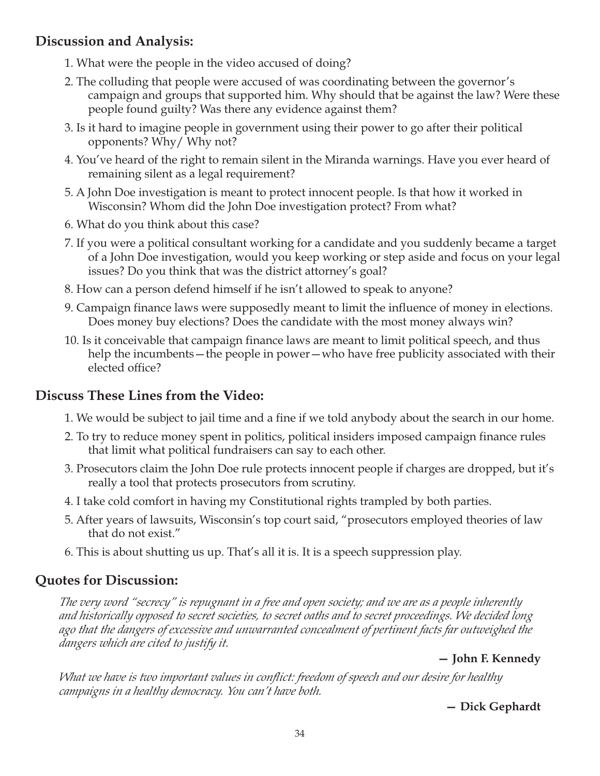## **Discussion and Analysis:**

- 1. What were the people in the video accused of doing?
- 2. The colluding that people were accused of was coordinating between the governor's campaign and groups that supported him. Why should that be against the law? Were these people found guilty? Was there any evidence against them?
- 3. Is it hard to imagine people in government using their power to go after their political opponents? Why/ Why not?
- 4. You've heard of the right to remain silent in the Miranda warnings. Have you ever heard of remaining silent as a legal requirement?
- 5. A John Doe investigation is meant to protect innocent people. Is that how it worked in Wisconsin? Whom did the John Doe investigation protect? From what?
- 6. What do you think about this case?
- 7. If you were a political consultant working for a candidate and you suddenly became a target of a John Doe investigation, would you keep working or step aside and focus on your legal issues? Do you think that was the district attorney's goal?
- 8. How can a person defend himself if he isn't allowed to speak to anyone?
- 9. Campaign finance laws were supposedly meant to limit the influence of money in elections. Does money buy elections? Does the candidate with the most money always win?
- 10. Is it conceivable that campaign finance laws are meant to limit political speech, and thus help the incumbents—the people in power—who have free publicity associated with their elected office?

## **Discuss These Lines from the Video:**

- 1. We would be subject to jail time and a fine if we told anybody about the search in our home.
- 2. To try to reduce money spent in politics, political insiders imposed campaign finance rules that limit what political fundraisers can say to each other.
- 3. Prosecutors claim the John Doe rule protects innocent people if charges are dropped, but it's really a tool that protects prosecutors from scrutiny.
- 4. I take cold comfort in having my Constitutional rights trampled by both parties.
- 5. After years of lawsuits, Wisconsin's top court said, "prosecutors employed theories of law that do not exist."
- 6. This is about shutting us up. That's all it is. It is a speech suppression play.

## **Quotes for Discussion:**

*The very word "secrecy" is repugnant in a free and open society; and we are as a people inherently and historically opposed to secret societies, to secret oaths and to secret proceedings. We decided long ago that the dangers of excessive and unwarranted concealment of pertinent facts far outweighed the dangers which are cited to justify it.*

**— John F. Kennedy**

*What we have is two important values in conflict: freedom of speech and our desire for healthy campaigns in a healthy democracy. You can't have both.*

**— Dick Gephardt**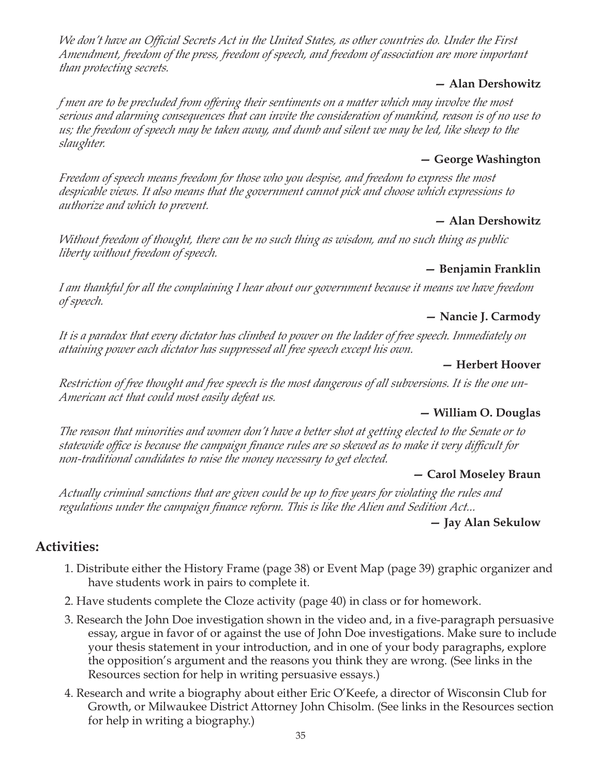*We don't have an Official Secrets Act in the United States, as other countries do. Under the First Amendment, freedom of the press, freedom of speech, and freedom of association are more important than protecting secrets.*

#### **— Alan Dershowitz**

*f men are to be precluded from offering their sentiments on a matter which may involve the most serious and alarming consequences that can invite the consideration of mankind, reason is of no use to us; the freedom of speech may be taken away, and dumb and silent we may be led, like sheep to the slaughter.*

#### **— George Washington**

*Freedom of speech means freedom for those who you despise, and freedom to express the most despicable views. It also means that the government cannot pick and choose which expressions to authorize and which to prevent.*

#### **— Alan Dershowitz**

*Without freedom of thought, there can be no such thing as wisdom, and no such thing as public liberty without freedom of speech.*

#### **— Benjamin Franklin**

*I am thankful for all the complaining I hear about our government because it means we have freedom of speech.*

#### **— Nancie J. Carmody**

*It is a paradox that every dictator has climbed to power on the ladder of free speech. Immediately on attaining power each dictator has suppressed all free speech except his own.*

#### **— Herbert Hoover**

*Restriction of free thought and free speech is the most dangerous of all subversions. It is the one un-American act that could most easily defeat us.*

#### **— William O. Douglas**

*The reason that minorities and women don't have a better shot at getting elected to the Senate or to statewide office is because the campaign finance rules are so skewed as to make it very difficult for non-traditional candidates to raise the money necessary to get elected.*

#### **— Carol Moseley Braun**

*Actually criminal sanctions that are given could be up to five years for violating the rules and regulations under the campaign finance reform. This is like the Alien and Sedition Act...*

#### **— Jay Alan Sekulow**

# **Activities:**

- 1. Distribute either the History Frame (page 38) or Event Map (page 39) graphic organizer and have students work in pairs to complete it.
- 2. Have students complete the Cloze activity (page 40) in class or for homework.
- 3. Research the John Doe investigation shown in the video and, in a five-paragraph persuasive essay, argue in favor of or against the use of John Doe investigations. Make sure to include your thesis statement in your introduction, and in one of your body paragraphs, explore the opposition's argument and the reasons you think they are wrong. (See links in the Resources section for help in writing persuasive essays.)
- 4. Research and write a biography about either Eric O'Keefe, a director of Wisconsin Club for Growth, or Milwaukee District Attorney John Chisolm. (See links in the Resources section for help in writing a biography.)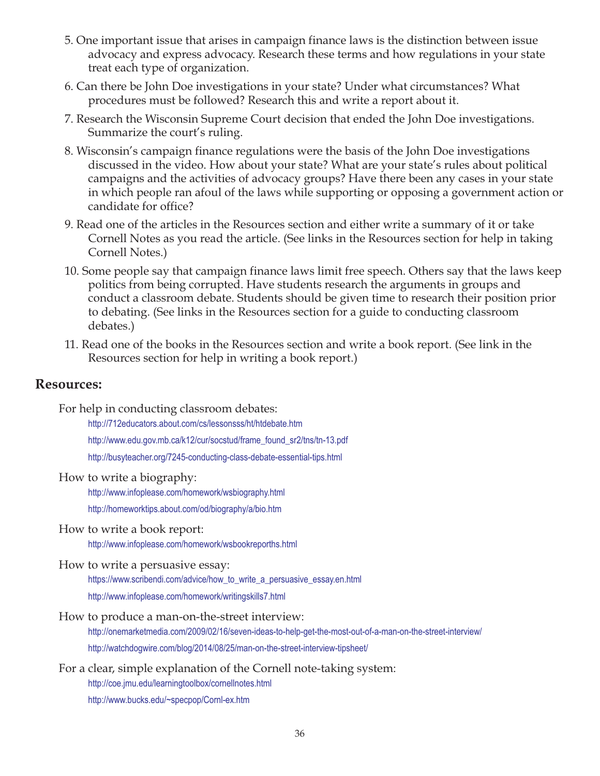- 5. One important issue that arises in campaign finance laws is the distinction between issue advocacy and express advocacy. Research these terms and how regulations in your state treat each type of organization.
- 6. Can there be John Doe investigations in your state? Under what circumstances? What procedures must be followed? Research this and write a report about it.
- 7. Research the Wisconsin Supreme Court decision that ended the John Doe investigations. Summarize the court's ruling.
- 8. Wisconsin's campaign finance regulations were the basis of the John Doe investigations discussed in the video. How about your state? What are your state's rules about political campaigns and the activities of advocacy groups? Have there been any cases in your state in which people ran afoul of the laws while supporting or opposing a government action or candidate for office?
- 9. Read one of the articles in the Resources section and either write a summary of it or take Cornell Notes as you read the article. (See links in the Resources section for help in taking Cornell Notes.)
- 10. Some people say that campaign finance laws limit free speech. Others say that the laws keep politics from being corrupted. Have students research the arguments in groups and conduct a classroom debate. Students should be given time to research their position prior to debating. (See links in the Resources section for a guide to conducting classroom debates.)
- 11. Read one of the books in the Resources section and write a book report. (See link in the Resources section for help in writing a book report.)

#### **Resources:**

For help in conducting classroom debates:

http://712educators.about.com/cs/lessonsss/ht/htdebate.htm http://www.edu.gov.mb.ca/k12/cur/socstud/frame\_found\_sr2/tns/tn-13.pdf

http://busyteacher.org/7245-conducting-class-debate-essential-tips.html

#### How to write a biography:

http://www.infoplease.com/homework/wsbiography.html http://homeworktips.about.com/od/biography/a/bio.htm

How to write a book report:

http://www.infoplease.com/homework/wsbookreporths.html

#### How to write a persuasive essay:

https://www.scribendi.com/advice/how\_to\_write\_a\_persuasive\_essay.en.html http://www.infoplease.com/homework/writingskills7.html

How to produce a man-on-the-street interview:

http://onemarketmedia.com/2009/02/16/seven-ideas-to-help-get-the-most-out-of-a-man-on-the-street-interview/ http://watchdogwire.com/blog/2014/08/25/man-on-the-street-interview-tipsheet/

For a clear, simple explanation of the Cornell note-taking system:

http://coe.jmu.edu/learningtoolbox/cornellnotes.html

http://www.bucks.edu/~specpop/Cornl-ex.htm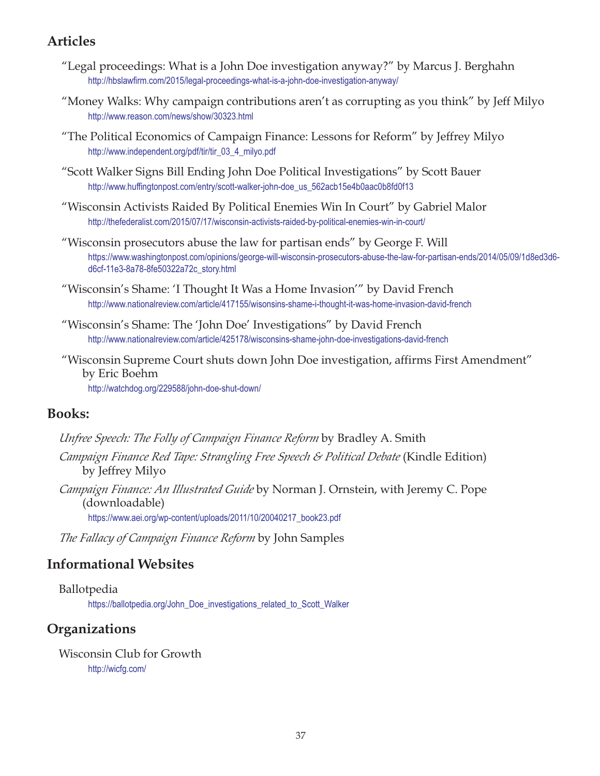#### **Articles**

- "Legal proceedings: What is a John Doe investigation anyway?" by Marcus J. Berghahn http://hbslawfirm.com/2015/legal-proceedings-what-is-a-john-doe-investigation-anyway/
- "Money Walks: Why campaign contributions aren't as corrupting as you think" by Jeff Milyo http://www.reason.com/news/show/30323.html
- "The Political Economics of Campaign Finance: Lessons for Reform" by Jeffrey Milyo http://www.independent.org/pdf/tir/tir\_03\_4\_milyo.pdf
- "Scott Walker Signs Bill Ending John Doe Political Investigations" by Scott Bauer http://www.huffingtonpost.com/entry/scott-walker-john-doe\_us\_562acb15e4b0aac0b8fd0f13
- "Wisconsin Activists Raided By Political Enemies Win In Court" by Gabriel Malor http://thefederalist.com/2015/07/17/wisconsin-activists-raided-by-political-enemies-win-in-court/
- "Wisconsin prosecutors abuse the law for partisan ends" by George F. Will https://www.washingtonpost.com/opinions/george-will-wisconsin-prosecutors-abuse-the-law-for-partisan-ends/2014/05/09/1d8ed3d6 d6cf-11e3-8a78-8fe50322a72c\_story.html
- "Wisconsin's Shame: 'I Thought It Was a Home Invasion'" by David French http://www.nationalreview.com/article/417155/wisonsins-shame-i-thought-it-was-home-invasion-david-french
- "Wisconsin's Shame: The 'John Doe' Investigations" by David French http://www.nationalreview.com/article/425178/wisconsins-shame-john-doe-investigations-david-french
- "Wisconsin Supreme Court shuts down John Doe investigation, affirms First Amendment" by Eric Boehm http://watchdog.org/229588/john-doe-shut-down/

#### **Books:**

- *Unfree Speech: The Folly of Campaign Finance Reform* by Bradley A. Smith *Campaign Finance Red Tape: Strangling Free Speech & Political Debate* (Kindle Edition) by Jeffrey Milyo
- *Campaign Finance: An Illustrated Guide* by Norman J. Ornstein, with Jeremy C. Pope (downloadable)

https://www.aei.org/wp-content/uploads/2011/10/20040217\_book23.pdf

*The Fallacy of Campaign Finance Reform* by John Samples

#### **Informational Websites**

Ballotpedia

https://ballotpedia.org/John\_Doe\_investigations\_related\_to\_Scott\_Walker

#### **Organizations**

Wisconsin Club for Growth http://wicfg.com/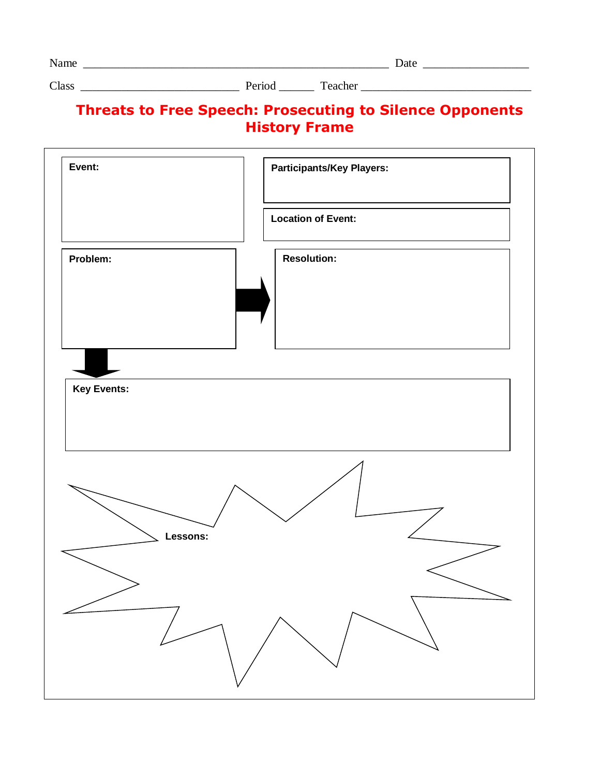| ____ | _______ |
|------|---------|
|      |         |

Class \_\_\_\_\_\_\_\_\_\_\_\_\_\_\_\_\_\_\_\_\_\_\_\_\_\_\_ Period \_\_\_\_\_\_ Teacher \_\_\_\_\_\_\_\_\_\_\_\_\_\_\_\_\_\_\_\_\_\_\_\_\_\_\_\_\_

# **Threats to Free Speech: Prosecuting to Silence Opponents History Frame**

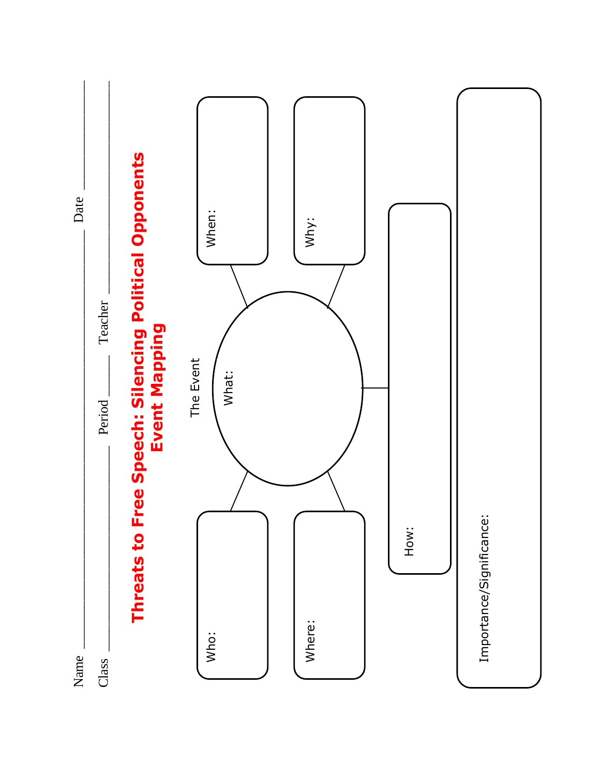